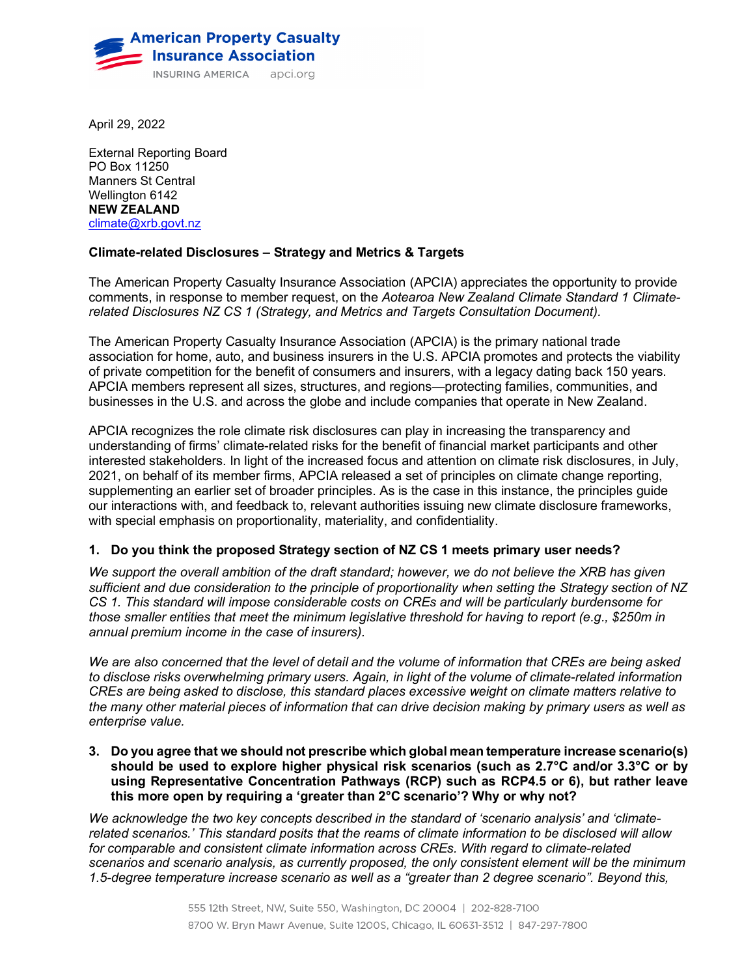

April 29, 2022

External Reporting Board PO Box 11250 Manners St Central Wellington 6142 **NEW ZEALAND** [climate@xrb.govt.nz](mailto:climate@xrb.govt.nz) 

# **Climate-related Disclosures – Strategy and Metrics & Targets**

The American Property Casualty Insurance Association (APCIA) appreciates the opportunity to provide comments, in response to member request, on the *Aotearoa New Zealand Climate Standard 1 Climaterelated Disclosures NZ CS 1 (Strategy, and Metrics and Targets Consultation Document).*

The American Property Casualty Insurance Association (APCIA) is the primary national trade association for home, auto, and business insurers in the U.S. APCIA promotes and protects the viability of private competition for the benefit of consumers and insurers, with a legacy dating back 150 years. APCIA members represent all sizes, structures, and regions—protecting families, communities, and businesses in the U.S. and across the globe and include companies that operate in New Zealand.

APCIA recognizes the role climate risk disclosures can play in increasing the transparency and understanding of firms' climate-related risks for the benefit of financial market participants and other interested stakeholders. In light of the increased focus and attention on climate risk disclosures, in July, 2021, on behalf of its member firms, APCIA released a set of principles on climate change reporting, supplementing an earlier set of broader principles. As is the case in this instance, the principles guide our interactions with, and feedback to, relevant authorities issuing new climate disclosure frameworks, with special emphasis on proportionality, materiality, and confidentiality.

# **1. Do you think the proposed Strategy section of NZ CS 1 meets primary user needs?**

*We support the overall ambition of the draft standard; however, we do not believe the XRB has given sufficient and due consideration to the principle of proportionality when setting the Strategy section of NZ CS 1. This standard will impose considerable costs on CREs and will be particularly burdensome for those smaller entities that meet the minimum legislative threshold for having to report (e.g., \$250m in annual premium income in the case of insurers).* 

*We are also concerned that the level of detail and the volume of information that CREs are being asked to disclose risks overwhelming primary users. Again, in light of the volume of climate-related information CREs are being asked to disclose, this standard places excessive weight on climate matters relative to the many other material pieces of information that can drive decision making by primary users as well as enterprise value.*

**3. Do you agree that we should not prescribe which global mean temperature increase scenario(s) should be used to explore higher physical risk scenarios (such as 2.7°C and/or 3.3°C or by using Representative Concentration Pathways (RCP) such as RCP4.5 or 6), but rather leave this more open by requiring a 'greater than 2°C scenario'? Why or why not?**

*We acknowledge the two key concepts described in the standard of 'scenario analysis' and 'climaterelated scenarios.' This standard posits that the reams of climate information to be disclosed will allow for comparable and consistent climate information across CREs. With regard to climate-related scenarios and scenario analysis, as currently proposed, the only consistent element will be the minimum 1.5-degree temperature increase scenario as well as a "greater than 2 degree scenario". Beyond this,*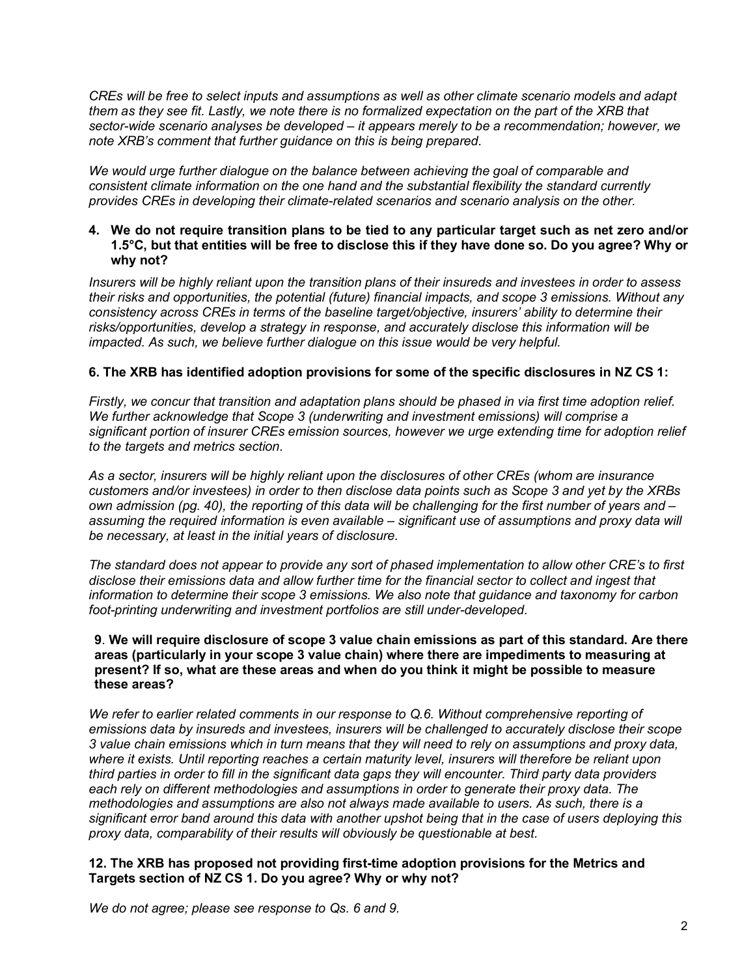*CREs will be free to select inputs and assumptions as well as other climate scenario models and adapt them as they see fit. Lastly, we note there is no formalized expectation on the part of the XRB that sector-wide scenario analyses be developed – it appears merely to be a recommendation; however, we note XRB's comment that further guidance on this is being prepared.* 

*We would urge further dialogue on the balance between achieving the goal of comparable and consistent climate information on the one hand and the substantial flexibility the standard currently provides CREs in developing their climate-related scenarios and scenario analysis on the other.* 

### **4. We do not require transition plans to be tied to any particular target such as net zero and/or 1.5°C, but that entities will be free to disclose this if they have done so. Do you agree? Why or why not?**

*Insurers will be highly reliant upon the transition plans of their insureds and investees in order to assess their risks and opportunities, the potential (future) financial impacts, and scope 3 emissions. Without any consistency across CREs in terms of the baseline target/objective, insurers' ability to determine their risks/opportunities, develop a strategy in response, and accurately disclose this information will be impacted. As such, we believe further dialogue on this issue would be very helpful.* 

# **6. The XRB has identified adoption provisions for some of the specific disclosures in NZ CS 1:**

*Firstly, we concur that transition and adaptation plans should be phased in via first time adoption relief. We further acknowledge that Scope 3 (underwriting and investment emissions) will comprise a significant portion of insurer CREs emission sources, however we urge extending time for adoption relief to the targets and metrics section.* 

*As a sector, insurers will be highly reliant upon the disclosures of other CREs (whom are insurance customers and/or investees) in order to then disclose data points such as Scope 3 and yet by the XRBs own admission (pg. 40), the reporting of this data will be challenging for the first number of years and –*  assuming the required information is even available – significant use of assumptions and proxy data will *be necessary, at least in the initial years of disclosure.* 

*The standard does not appear to provide any sort of phased implementation to allow other CRE's to first disclose their emissions data and allow further time for the financial sector to collect and ingest that information to determine their scope 3 emissions. We also note that guidance and taxonomy for carbon foot-printing underwriting and investment portfolios are still under-developed.*

### **9**. **We will require disclosure of scope 3 value chain emissions as part of this standard. Are there areas (particularly in your scope 3 value chain) where there are impediments to measuring at present? If so, what are these areas and when do you think it might be possible to measure these areas?**

*We refer to earlier related comments in our response to Q.6. Without comprehensive reporting of emissions data by insureds and investees, insurers will be challenged to accurately disclose their scope 3 value chain emissions which in turn means that they will need to rely on assumptions and proxy data, where it exists. Until reporting reaches a certain maturity level, insurers will therefore be reliant upon third parties in order to fill in the significant data gaps they will encounter. Third party data providers each rely on different methodologies and assumptions in order to generate their proxy data. The methodologies and assumptions are also not always made available to users. As such, there is a significant error band around this data with another upshot being that in the case of users deploying this proxy data, comparability of their results will obviously be questionable at best.*

# **12. The XRB has proposed not providing first-time adoption provisions for the Metrics and Targets section of NZ CS 1. Do you agree? Why or why not?**

*We do not agree; please see response to Qs. 6 and 9.*